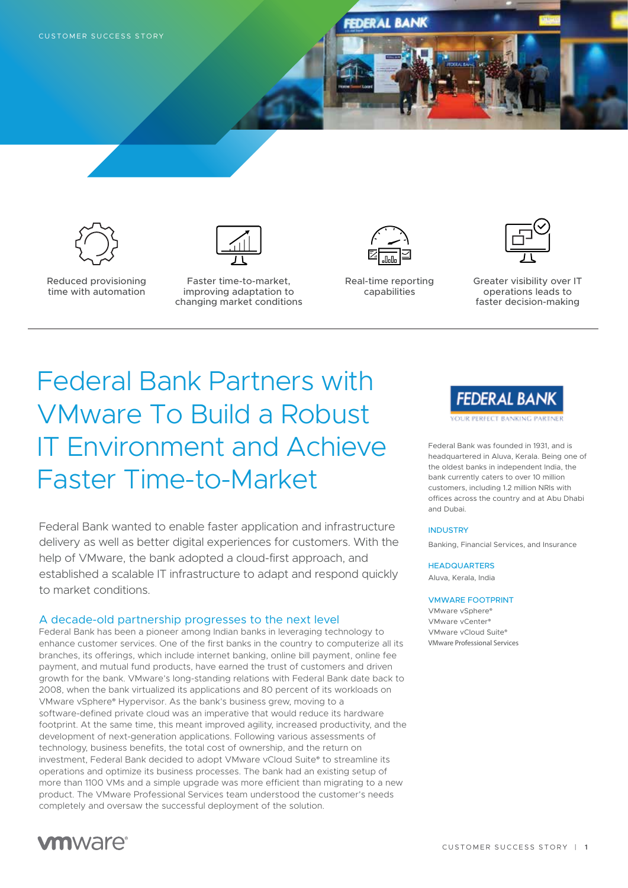





Reduced provisioning time with automation

Faster time-to-market, improving adaptation to changing market conditions



Real-time reporting capabilities



Greater visibility over IT operations leads to faster decision-making

# Federal Bank Partners with VMware To Build a Robust IT Environment and Achieve Faster Time-to-Market

Federal Bank wanted to enable faster application and infrastructure delivery as well as better digital experiences for customers. With the help of VMware, the bank adopted a cloud-first approach, and established a scalable IT infrastructure to adapt and respond quickly to market conditions.

# A decade-old partnership progresses to the next level

Federal Bank has been a pioneer among Indian banks in leveraging technology to enhance customer services. One of the first banks in the country to computerize all its branches, its offerings, which include internet banking, online bill payment, online fee payment, and mutual fund products, have earned the trust of customers and driven growth for the bank. VMware's long-standing relations with Federal Bank date back to 2008, when the bank virtualized its applications and 80 percent of its workloads on VMware vSphere® Hypervisor. As the bank's business grew, moving to a software-defined private cloud was an imperative that would reduce its hardware footprint. At the same time, this meant improved agility, increased productivity, and the development of next-generation applications. Following various assessments of technology, business benefits, the total cost of ownership, and the return on investment, Federal Bank decided to adopt VMware vCloud Suite® to streamline its operations and optimize its business processes. The bank had an existing setup of more than 1100 VMs and a simple upgrade was more efficient than migrating to a new product. The VMware Professional Services team understood the customer's needs completely and oversaw the successful deployment of the solution.



Federal Bank was founded in 1931, and is headquartered in Aluva, Kerala. Being one of the oldest banks in independent India, the bank currently caters to over 10 million customers, including 1.2 million NRIs with offices across the country and at Abu Dhabi and Dubai.

### **INDUSTRY**

Banking, Financial Services, and Insurance

### **HEADQUARTERS**

Aluva, Kerala, India

#### VMWARE FOOTPRINT

VMware vSphere® VMware vCenter® VMware vCloud Suite® VMware Professional Services